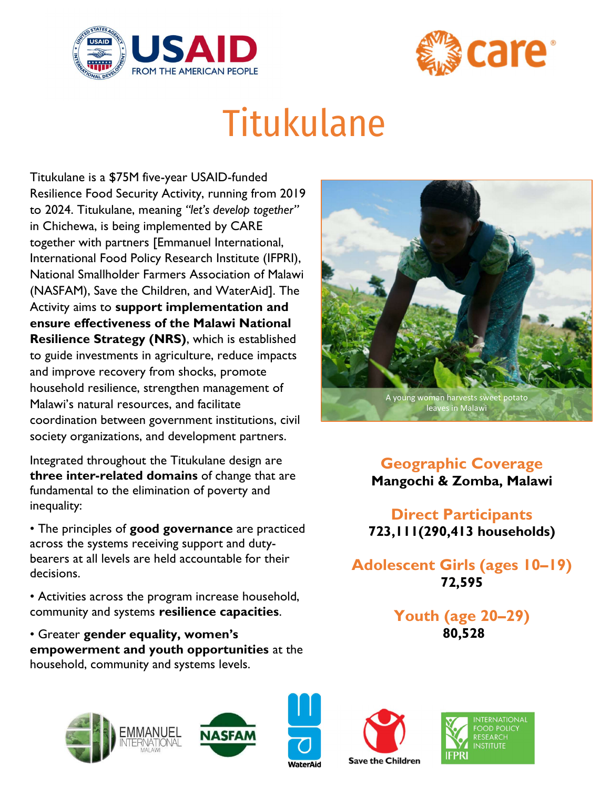



# **Titukulane**

Titukulane is a \$75M five-year USAID-funded Resilience Food Security Activity, running from 2019 to 2024. Titukulane, meaning "let's develop together" in Chichewa, is being implemented by CARE together with partners [Emmanuel International, International Food Policy Research Institute (IFPRI), National Smallholder Farmers Association of Malawi (NASFAM), Save the Children, and WaterAid]. The Activity aims to support implementation and ensure effectiveness of the Malawi National Resilience Strategy (NRS), which is established to guide investments in agriculture, reduce impacts and improve recovery from shocks, promote household resilience, strengthen management of Malawi's natural resources, and facilitate coordination between government institutions, civil society organizations, and development partners.

Integrated throughout the Titukulane design are three inter-related domains of change that are fundamental to the elimination of poverty and inequality:

• The principles of good governance are practiced across the systems receiving support and dutybearers at all levels are held accountable for their decisions.

• Activities across the program increase household, community and systems resilience capacities.

• Greater gender equality, women's empowerment and youth opportunities at the household, community and systems levels.



Geographic Coverage Mangochi & Zomba, Malawi

Direct Participants 723,111(290,413 households)

Adolescent Girls (ages 10–19) 72,595

> Youth (age 20–29) 80,528